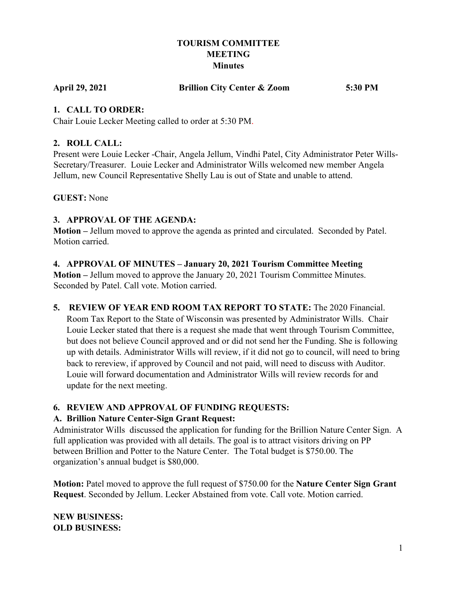## **TOURISM COMMITTEE MEETING Minutes**

**April 29, 2021 Brillion City Center & Zoom 5:30 PM**

## **1. CALL TO ORDER:**

Chair Louie Lecker Meeting called to order at 5:30 PM.

## **2. ROLL CALL:**

Present were Louie Lecker -Chair, Angela Jellum, Vindhi Patel, City Administrator Peter Wills-Secretary/Treasurer. Louie Lecker and Administrator Wills welcomed new member Angela Jellum, new Council Representative Shelly Lau is out of State and unable to attend.

**GUEST:** None

# **3. APPROVAL OF THE AGENDA:**

**Motion –** Jellum moved to approve the agenda as printed and circulated. Seconded by Patel. Motion carried.

#### **4. APPROVAL OF MINUTES – January 20, 2021 Tourism Committee Meeting**

**Motion –** Jellum moved to approve the January 20, 2021 Tourism Committee Minutes. Seconded by Patel. Call vote. Motion carried.

**5. REVIEW OF YEAR END ROOM TAX REPORT TO STATE:** The 2020 Financial. Room Tax Report to the State of Wisconsin was presented by Administrator Wills. Chair Louie Lecker stated that there is a request she made that went through Tourism Committee, but does not believe Council approved and or did not send her the Funding. She is following up with details. Administrator Wills will review, if it did not go to council, will need to bring back to rereview, if approved by Council and not paid, will need to discuss with Auditor. Louie will forward documentation and Administrator Wills will review records for and update for the next meeting.

# **6. REVIEW AND APPROVAL OF FUNDING REQUESTS:**

# **A. Brillion Nature Center-Sign Grant Request:**

Administrator Wills discussed the application for funding for the Brillion Nature Center Sign. A full application was provided with all details. The goal is to attract visitors driving on PP between Brillion and Potter to the Nature Center. The Total budget is \$750.00. The organization's annual budget is \$80,000.

**Motion:** Patel moved to approve the full request of \$750.00 for the **Nature Center Sign Grant Request**. Seconded by Jellum. Lecker Abstained from vote. Call vote. Motion carried.

**NEW BUSINESS: OLD BUSINESS:**